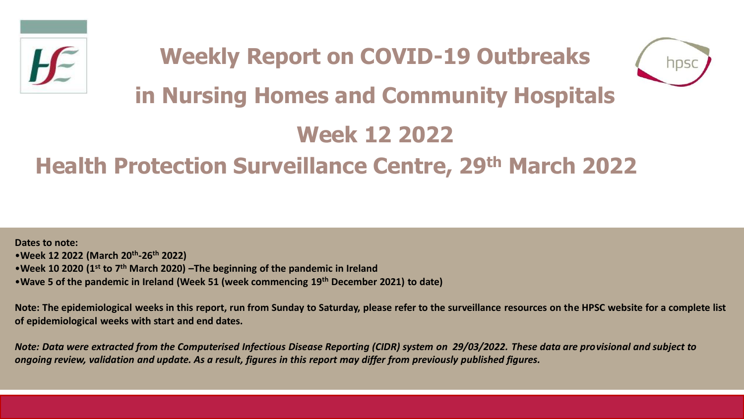



# **in Nursing Homes and Community Hospitals**

# **Week 12 2022**

# **Health Protection Surveillance Centre, 29th March 2022**

**Dates to note:** •**Week 12 2022 (March 20th -26th 2022)** •**Week 10 2020 (1st to 7th March 2020) –The beginning of the pandemic in Ireland**  •**Wave 5 of the pandemic in Ireland (Week 51 (week commencing 19th December 2021) to date)**

**Note: The epidemiological weeks in this report, run from Sunday to Saturday, please refer to the surveillance resources on the HPSC website for a complete list of epidemiological weeks with start and end dates.**

*Note: Data were extracted from the Computerised Infectious Disease Reporting (CIDR) system on 29/03/2022. These data are provisional and subject to ongoing review, validation and update. As a result, figures in this report may differ from previously published figures.*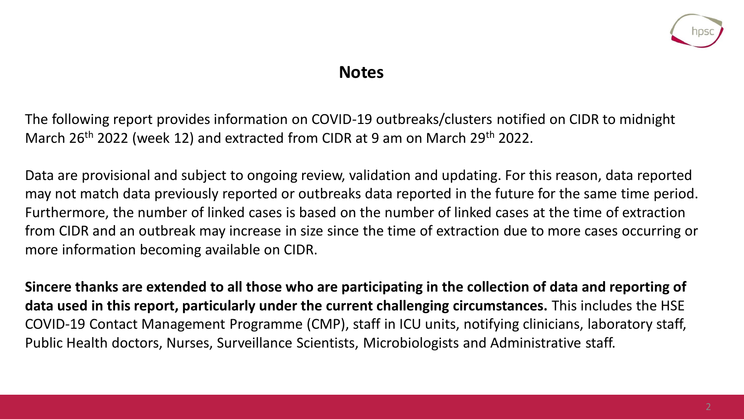

### **Notes**

The following report provides information on COVID-19 outbreaks/clusters notified on CIDR to midnight March 26<sup>th</sup> 2022 (week 12) and extracted from CIDR at 9 am on March 29<sup>th</sup> 2022.

Data are provisional and subject to ongoing review, validation and updating. For this reason, data reported may not match data previously reported or outbreaks data reported in the future for the same time period. Furthermore, the number of linked cases is based on the number of linked cases at the time of extraction from CIDR and an outbreak may increase in size since the time of extraction due to more cases occurring or more information becoming available on CIDR.

**Sincere thanks are extended to all those who are participating in the collection of data and reporting of data used in this report, particularly under the current challenging circumstances.** This includes the HSE COVID-19 Contact Management Programme (CMP), staff in ICU units, notifying clinicians, laboratory staff, Public Health doctors, Nurses, Surveillance Scientists, Microbiologists and Administrative staff.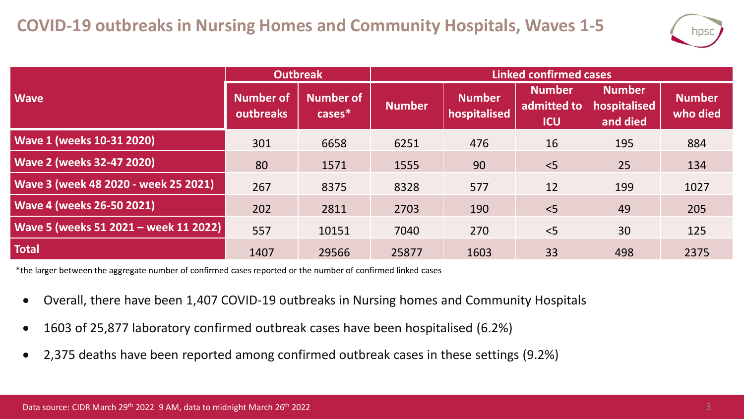

|                                       | <b>Outbreak</b>                      |                        | <b>Linked confirmed cases</b> |                               |                                            |                                           |                           |  |
|---------------------------------------|--------------------------------------|------------------------|-------------------------------|-------------------------------|--------------------------------------------|-------------------------------------------|---------------------------|--|
| <b>Wave</b>                           | <b>Number of</b><br><b>outbreaks</b> | Number of<br>$cases^*$ | <b>Number</b>                 | <b>Number</b><br>hospitalised | <b>Number</b><br>admitted to<br><b>ICU</b> | <b>Number</b><br>hospitalised<br>and died | <b>Number</b><br>who died |  |
| <b>Wave 1 (weeks 10-31 2020)</b>      | 301                                  | 6658                   | 6251                          | 476                           | 16                                         | 195                                       | 884                       |  |
| <b>Wave 2 (weeks 32-47 2020)</b>      | 80                                   | 1571                   | 1555                          | 90                            | $<$ 5                                      | 25                                        | 134                       |  |
| Wave 3 (week 48 2020 - week 25 2021)  | 267                                  | 8375                   | 8328                          | 577                           | 12                                         | 199                                       | 1027                      |  |
| <b>Wave 4 (weeks 26-50 2021)</b>      | 202                                  | 2811                   | 2703                          | 190                           | $<$ 5                                      | 49                                        | 205                       |  |
| Wave 5 (weeks 51 2021 - week 11 2022) | 557                                  | 10151                  | 7040                          | 270                           | < 5                                        | 30                                        | 125                       |  |
| <b>Total</b>                          | 1407                                 | 29566                  | 25877                         | 1603                          | 33                                         | 498                                       | 2375                      |  |

\*the larger between the aggregate number of confirmed cases reported or the number of confirmed linked cases

- Overall, there have been 1,407 COVID-19 outbreaks in Nursing homes and Community Hospitals
- 1603 of 25,877 laboratory confirmed outbreak cases have been hospitalised (6.2%)
- 2,375 deaths have been reported among confirmed outbreak cases in these settings (9.2%)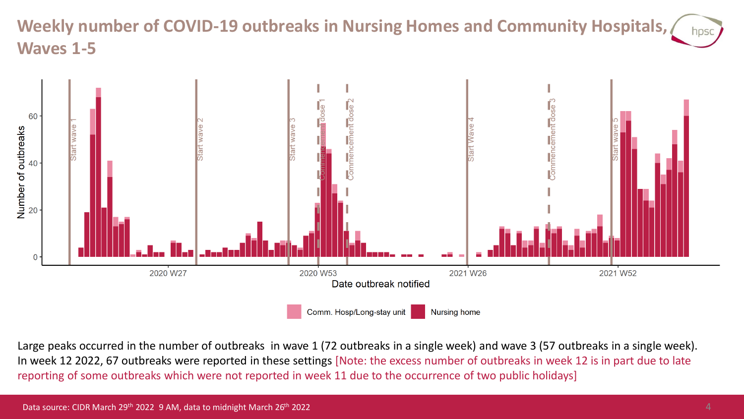#### **Weekly number of COVID-19 outbreaks in Nursing Homes and Community Hospitals,**  hpsc **Waves 1-5**



Large peaks occurred in the number of outbreaks in wave 1 (72 outbreaks in a single week) and wave 3 (57 outbreaks in a single week). In week 12 2022, 67 outbreaks were reported in these settings [Note: the excess number of outbreaks in week 12 is in part due to late reporting of some outbreaks which were not reported in week 11 due to the occurrence of two public holidays]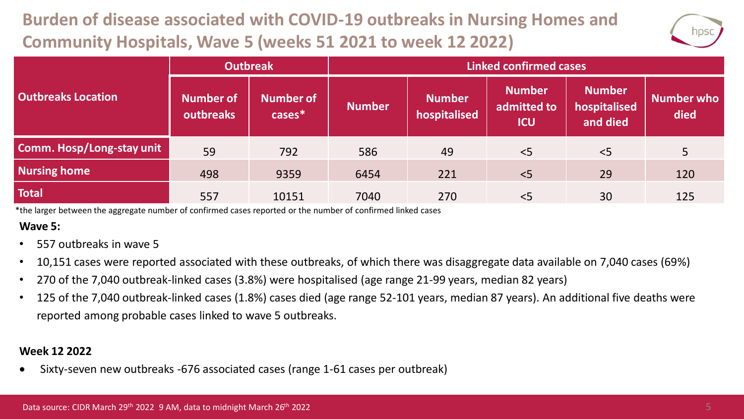# **Burden of disease associated with COVID-19 outbreaks in Nursing Homes and Community Hospitals, Wave 5 (weeks 51 2021 to week 12 2022)**



|                           | <b>Outbreak</b>               |                               | <b>Linked confirmed cases</b> |                               |                                            |                                           |                    |  |
|---------------------------|-------------------------------|-------------------------------|-------------------------------|-------------------------------|--------------------------------------------|-------------------------------------------|--------------------|--|
| <b>Outbreaks Location</b> | <b>Number of</b><br>outbreaks | <b>Number of</b><br>$cases^*$ | <b>Number</b>                 | <b>Number</b><br>hospitalised | <b>Number</b><br>admitted to<br><b>ICU</b> | <b>Number</b><br>hospitalised<br>and died | Number who<br>died |  |
| Comm. Hosp/Long-stay unit | 59                            | 792                           | 586                           | 49                            | < 5                                        | < 5                                       | 5                  |  |
| <b>Nursing home</b>       | 498                           | 9359                          | 6454                          | 221                           | < 5                                        | 29                                        | 120                |  |
| <b>Total</b>              | 557                           | 10151                         | 7040                          | 270                           | < 5                                        | 30                                        | 125                |  |

\*the larger between the aggregate number of confirmed cases reported or the number of confirmed linked cases

#### **Wave 5:**

- 557 outbreaks in wave 5
- 10,151 cases were reported associated with these outbreaks, of which there was disaggregate data available on 7,040 cases (69%)
- 270 of the 7,040 outbreak-linked cases (3.8%) were hospitalised (age range 21-99 years, median 82 years)
- 125 of the 7,040 outbreak-linked cases (1.8%) cases died (age range 52-101 years, median 87 years). An additional five deaths were reported among probable cases linked to wave 5 outbreaks.

#### **Week 12 2022**

• Sixty-seven new outbreaks -676 associated cases (range 1-61 cases per outbreak)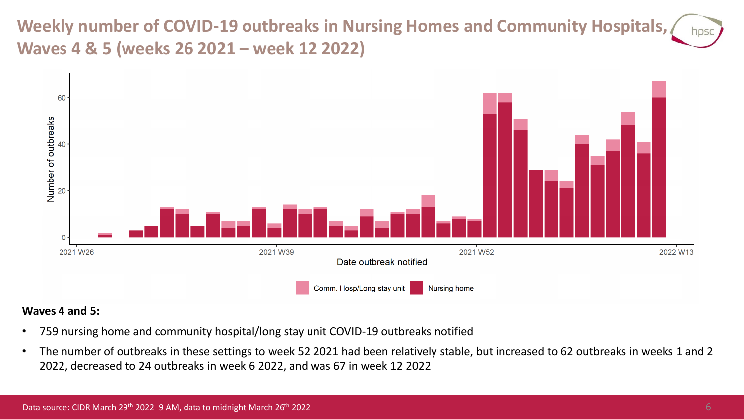**Weekly number of COVID-19 outbreaks in Nursing Homes and Community Hospitals, Waves 4 & 5 (weeks 26 2021 – week 12 2022)**



#### **Waves 4 and 5:**

- 759 nursing home and community hospital/long stay unit COVID-19 outbreaks notified
- The number of outbreaks in these settings to week 52 2021 had been relatively stable, but increased to 62 outbreaks in weeks 1 and 2 2022, decreased to 24 outbreaks in week 6 2022, and was 67 in week 12 2022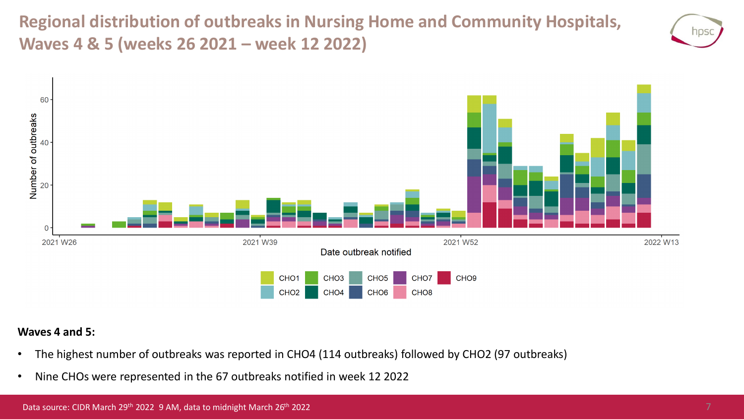**Regional distribution of outbreaks in Nursing Home and Community Hospitals, Waves 4 & 5 (weeks 26 2021 – week 12 2022)**





#### **Waves 4 and 5:**

- The highest number of outbreaks was reported in CHO4 (114 outbreaks) followed by CHO2 (97 outbreaks)
- Nine CHOs were represented in the 67 outbreaks notified in week 12 2022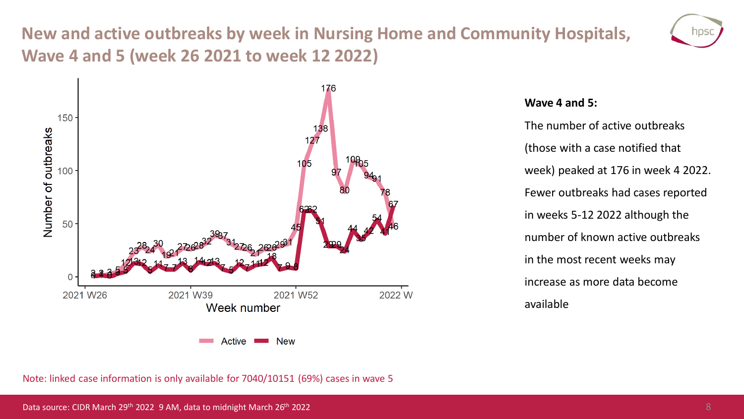## **New and active outbreaks by week in Nursing Home and Community Hospitals, Wave 4 and 5 (week 26 2021 to week 12 2022)**





#### **Wave 4 and 5:**

The number of active outbreaks (those with a case notified that week) peaked at 176 in week 4 2022. Fewer outbreaks had cases reported in weeks 5-12 2022 although the number of known active outbreaks in the most recent weeks may increase as more data become available

Note: linked case information is only available for 7040/10151 (69%) cases in wave 5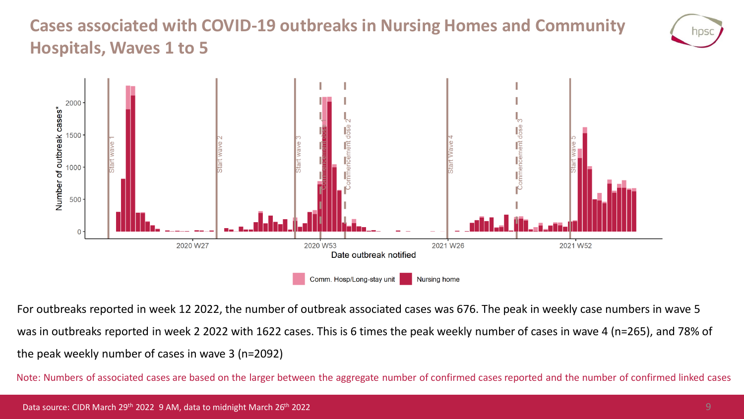## **Cases associated with COVID-19 outbreaks in Nursing Homes and Community Hospitals, Waves 1 to 5**





For outbreaks reported in week 12 2022, the number of outbreak associated cases was 676. The peak in weekly case numbers in wave 5 was in outbreaks reported in week 2 2022 with 1622 cases. This is 6 times the peak weekly number of cases in wave 4 (n=265), and 78% of the peak weekly number of cases in wave 3 (n=2092)

Note: Numbers of associated cases are based on the larger between the aggregate number of confirmed cases reported and the number of confirmed linked cases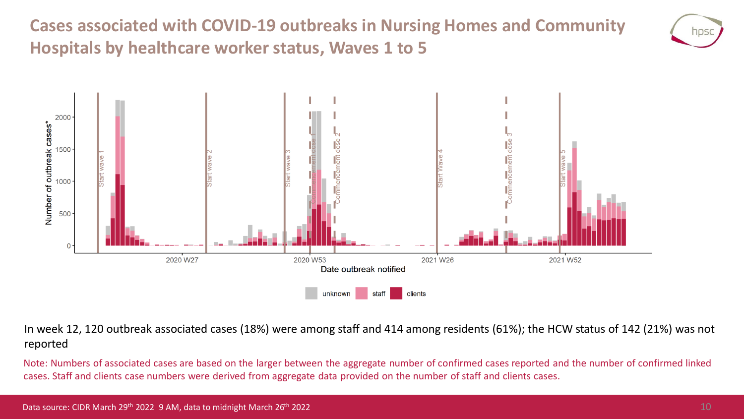**Cases associated with COVID-19 outbreaks in Nursing Homes and Community Hospitals by healthcare worker status, Waves 1 to 5**





In week 12, 120 outbreak associated cases (18%) were among staff and 414 among residents (61%); the HCW status of 142 (21%) was not reported

Note: Numbers of associated cases are based on the larger between the aggregate number of confirmed cases reported and the number of confirmed linked cases. Staff and clients case numbers were derived from aggregate data provided on the number of staff and clients cases.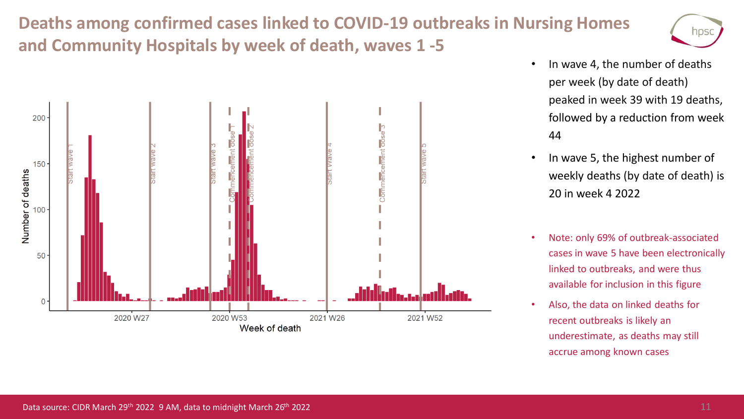## **Deaths among confirmed cases linked to COVID-19 outbreaks in Nursing Homes and Community Hospitals by week of death, waves 1 -5**





- In wave 4, the number of deaths per week (by date of death) peaked in week 39 with 19 deaths, followed by a reduction from week 44
- In wave 5, the highest number of weekly deaths (by date of death) is 20 in week 4 2022
- Note: only 69% of outbreak-associated cases in wave 5 have been electronically linked to outbreaks, and were thus available for inclusion in this figure
- Also, the data on linked deaths for recent outbreaks is likely an underestimate, as deaths may still accrue among known cases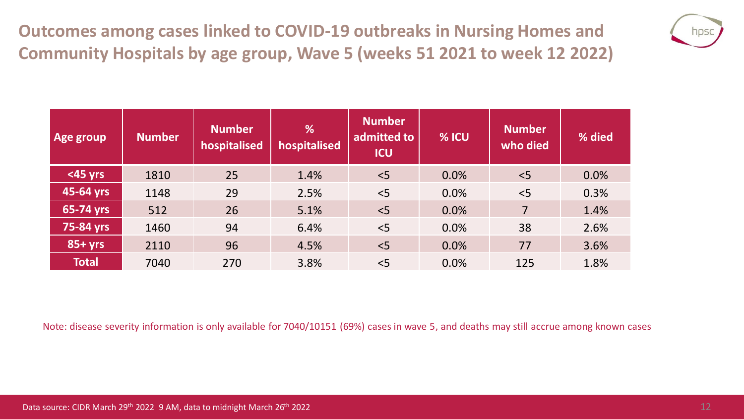**Outcomes among cases linked to COVID-19 outbreaks in Nursing Homes and Community Hospitals by age group, Wave 5 (weeks 51 2021 to week 12 2022)**



| Age group    | <b>Number</b> | <b>Number</b><br>hospitalised | %<br>hospitalised | <b>Number</b><br>admitted to<br><b>ICU</b> | % ICU | <b>Number</b><br>who died | % died |
|--------------|---------------|-------------------------------|-------------------|--------------------------------------------|-------|---------------------------|--------|
| $<$ 45 yrs   | 1810          | 25                            | 1.4%              | < 5                                        | 0.0%  | < 5                       | 0.0%   |
| 45-64 yrs    | 1148          | 29                            | 2.5%              | < 5                                        | 0.0%  | < 5                       | 0.3%   |
| 65-74 yrs    | 512           | 26                            | 5.1%              | < 5                                        | 0.0%  | $\overline{7}$            | 1.4%   |
| 75-84 yrs    | 1460          | 94                            | 6.4%              | < 5                                        | 0.0%  | 38                        | 2.6%   |
| $85 + yrs$   | 2110          | 96                            | 4.5%              | 5<                                         | 0.0%  | 77                        | 3.6%   |
| <b>Total</b> | 7040          | 270                           | 3.8%              | < 5                                        | 0.0%  | 125                       | 1.8%   |

Note: disease severity information is only available for 7040/10151 (69%) cases in wave 5, and deaths may still accrue among known cases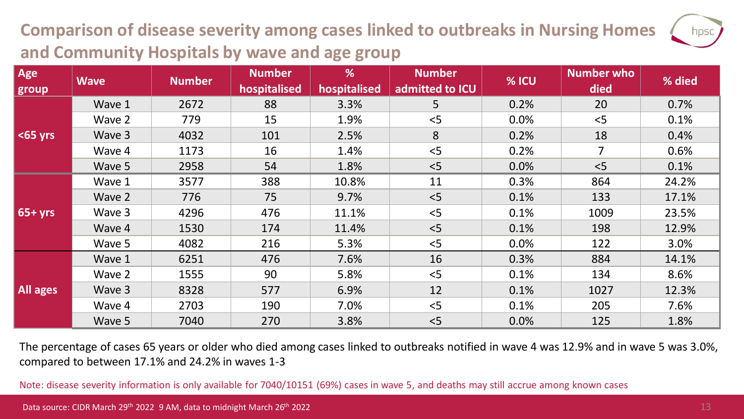## **Comparison of disease severity among cases linked to outbreaks in Nursing Homes and Community Hospitals by wave and age group**

| Age         | <b>Wave</b> | <b>Number</b> | <b>Number</b><br>hospitalised | %<br>hospitalised | <b>Number</b><br>admitted to ICU | % ICU | <b>Number who</b><br>died | % died |
|-------------|-------------|---------------|-------------------------------|-------------------|----------------------------------|-------|---------------------------|--------|
| group       |             |               |                               |                   |                                  |       |                           |        |
| $ $ <65 yrs | Wave 1      | 2672          | 88                            | 3.3%              | 5                                | 0.2%  | 20                        | 0.7%   |
|             | Wave 2      | 779           | 15                            | 1.9%              | < 5                              | 0.0%  | < 5                       | 0.1%   |
|             | Wave 3      | 4032          | 101                           | 2.5%              | 8                                | 0.2%  | 18                        | 0.4%   |
|             | Wave 4      | 1173          | 16                            | 1.4%              | < 5                              | 0.2%  | $\overline{7}$            | 0.6%   |
|             | Wave 5      | 2958          | 54                            | 1.8%              | < 5                              | 0.0%  | < 5                       | 0.1%   |
| $65+yrs$    | Wave 1      | 3577          | 388                           | 10.8%             | 11                               | 0.3%  | 864                       | 24.2%  |
|             | Wave 2      | 776           | 75                            | 9.7%              | < 5                              | 0.1%  | 133                       | 17.1%  |
|             | Wave 3      | 4296          | 476                           | 11.1%             | < 5                              | 0.1%  | 1009                      | 23.5%  |
|             | Wave 4      | 1530          | 174                           | 11.4%             | < 5                              | 0.1%  | 198                       | 12.9%  |
|             | Wave 5      | 4082          | 216                           | 5.3%              | < 5                              | 0.0%  | 122                       | 3.0%   |
| All ages    | Wave 1      | 6251          | 476                           | 7.6%              | 16                               | 0.3%  | 884                       | 14.1%  |
|             | Wave 2      | 1555          | 90                            | 5.8%              | < 5                              | 0.1%  | 134                       | 8.6%   |
|             | Wave 3      | 8328          | 577                           | 6.9%              | 12                               | 0.1%  | 1027                      | 12.3%  |
|             | Wave 4      | 2703          | 190                           | 7.0%              | < 5                              | 0.1%  | 205                       | 7.6%   |
|             | Wave 5      | 7040          | 270                           | 3.8%              | < 5                              | 0.0%  | 125                       | 1.8%   |

The percentage of cases 65 years or older who died among cases linked to outbreaks notified in wave 4 was 12.9% and in wave 5 was 3.0%, compared to between 17.1% and 24.2% in waves 1-3

Note: disease severity information is only available for 7040/10151 (69%) cases in wave 5, and deaths may still accrue among known cases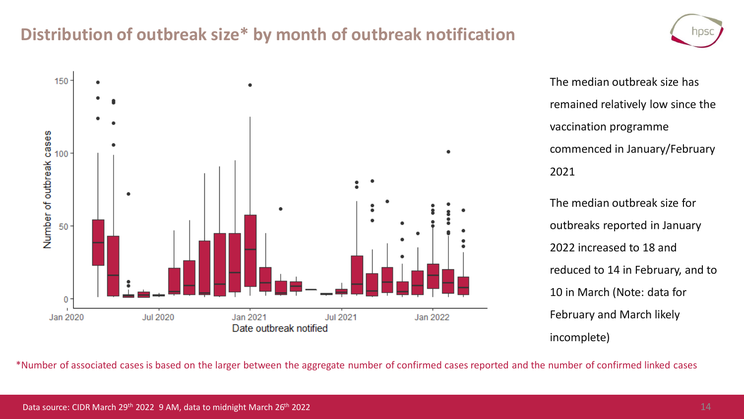### **Distribution of outbreak size\* by month of outbreak notification**



The median outbreak size has remained relatively low since the vaccination programme commenced in January/February 2021

The median outbreak size for outbreaks reported in January 2022 increased to 18 and reduced to 14 in February, and to 10 in March (Note: data for February and March likely incomplete)

\*Number of associated cases is based on the larger between the aggregate number of confirmed cases reported and the number of confirmed linked cases

NDS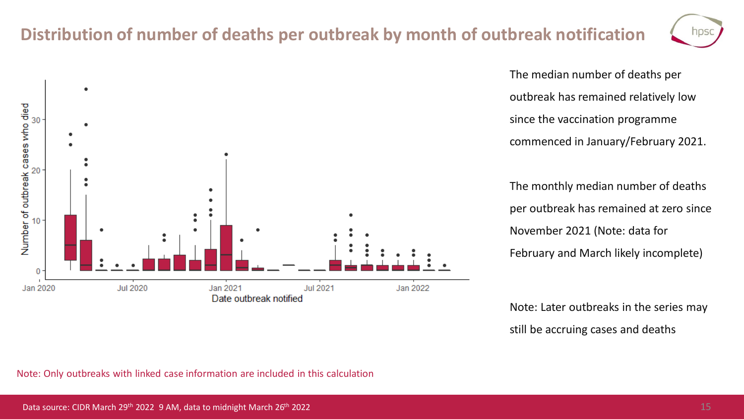### **Distribution of number of deaths per outbreak by month of outbreak notification**

**Jul 2021** 

Jan 2022



The median number of deaths per outbreak has remained relatively low since the vaccination programme commenced in January/February 2021.

The monthly median number of deaths per outbreak has remained at zero since November 2021 (Note: data for February and March likely incomplete)

Note: Later outbreaks in the series may still be accruing cases and deaths



Jan 2021

Date outbreak notified

**Jul 2020** 

 $\bullet$ 

٠

Number of outbreak cases who died<br>about all as

0

Jan 2020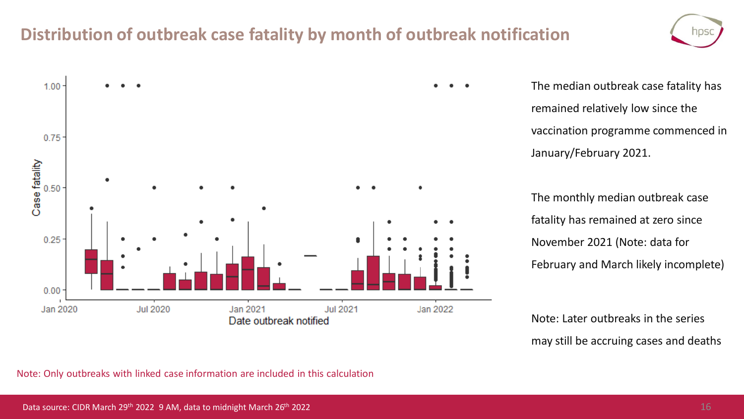### **Distribution of outbreak case fatality by month of outbreak notification**



The median outbreak case fatality has remained relatively low since the vaccination programme commenced in January/February 2021.

The monthly median outbreak case fatality has remained at zero since November 2021 (Note: data for February and March likely incomplete)

Note: Later outbreaks in the series may still be accruing cases and deaths

Note: Only outbreaks with linked case information are included in this calculation

hps